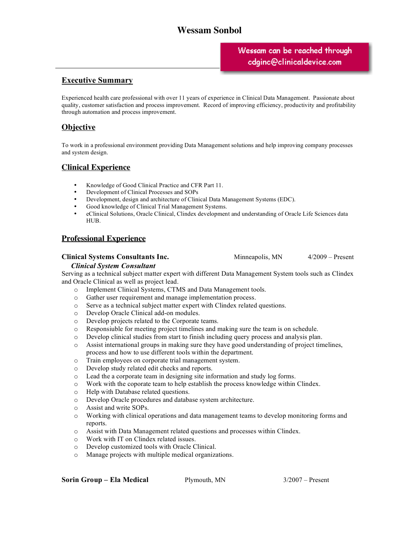# **Wessam Sonbol**

# m can ha naacha [wessam\\_1999@yahoo.com](mailto:cdginc@clinicaldevice.com?subject=Wessam Sonbol)

## **Executive Summary**

Experienced health care professional with over 11 years of experience in Clinical Data Management. Passionate about quality, customer satisfaction and process improvement. Record of improving efficiency, productivity and profitability through automation and process improvement.

## **Objective**

To work in a professional environment providing Data Management solutions and help improving company processes and system design.

## **Clinical Experience**

- Knowledge of Good Clinical Practice and CFR Part 11.
- Development of Clinical Processes and SOPs
- Development, design and architecture of Clinical Data Management Systems (EDC).
- Good knowledge of Clinical Trial Management Systems.
- eClinical Solutions, Oracle Clinical, Clindex development and understanding of Oracle Life Sciences data HUB.

## **Professional Experience**

#### **Clinical Systems Consultants Inc.** Minneapolis, MN 4/2009 – Present

### *Clinical System Consultant*

Serving as a technical subject matter expert with different Data Management System tools such as Clindex and Oracle Clinical as well as project lead.

- o Implement Clinical Systems, CTMS and Data Management tools.
- o Gather user requirement and manage implementation process.
- o Serve as a technical subject matter expert with Clindex related questions.
- o Develop Oracle Clinical add-on modules.
- o Develop projects related to the Corporate teams.
- o Responsiuble for meeting project timelines and making sure the team is on schedule.
- o Develop clinical studies from start to finish including query process and analysis plan.
- o Assist international groups in making sure they have good understanding of project timelines, process and how to use different tools within the department.
- o Train employees on corporate trial management system.
- o Develop study related edit checks and reports.
- o Lead the a corporate team in designing site information and study log forms.
- o Work with the coporate team to help establish the process knowledge within Clindex.
- o Help with Database related questions.
- o Develop Oracle procedures and database system architecture.
- o Assist and write SOPs.
- o Working with clinical operations and data management teams to develop monitoring forms and reports.
- o Assist with Data Management related questions and processes within Clindex.
- o Work with IT on Clindex related issues.
- o Develop customized tools with Oracle Clinical.
- o Manage projects with multiple medical organizations.

**Sorin Group – Ela Medical** Plymouth, MN 3/2007 – Present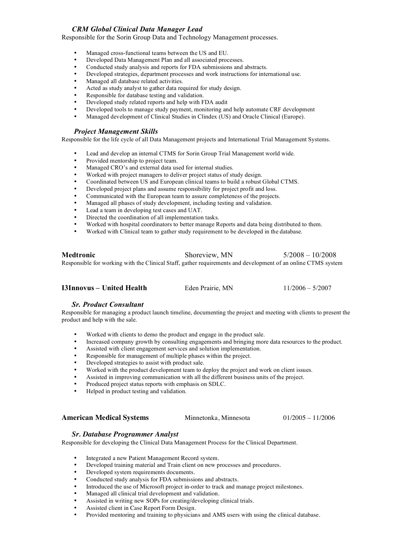#### *CRM Global Clinical Data Manager Lead*

Responsible for the Sorin Group Data and Technology Management processes.

- Managed cross-functional teams between the US and EU.
- Developed Data Management Plan and all associated processes.
- Conducted study analysis and reports for FDA submissions and abstracts.
- Developed strategies, department processes and work instructions for international use.
- Managed all database related activities.
- Acted as study analyst to gather data required for study design.
- Responsible for database testing and validation.
- Developed study related reports and help with FDA audit
- Developed tools to manage study payment, monitoring and help automate CRF development<br>• Managed development of Clinical Studies in Clindey (US) and Oracle Clinical (Europe)
- Managed development of Clinical Studies in Clindex (US) and Oracle Clinical (Europe).

#### *Project Management Skills*

Responsible for the life cycle of all Data Management projects and International Trial Management Systems.

- Lead and develop an internal CTMS for Sorin Group Trial Management world wide.
- Provided mentorship to project team.
- Managed CRO's and external data used for internal studies.
- Worked with project managers to deliver project status of study design.
- Coordinated between US and European clinical teams to build a robust Global CTMS.
- Developed project plans and assume responsibility for project profit and loss.
- Communicated with the European team to assure completeness of the projects.
- Managed all phases of study development, including testing and validation.<br>• Lead a team in developing test cases and  $II\Delta T$
- Lead a team in developing test cases and UAT.<br>• Directed the coordination of all implementation
- Directed the coordination of all implementation tasks.
- Worked with hospital coordinators to better manage Reports and data being distributed to them.
- Worked with Clinical team to gather study requirement to be developed in the database.

**Medtronic** Shoreview, MN 5/2008 – 10/2008 Responsible for working with the Clinical Staff, gather requirements and development of an online CTMS system

**I3Innovus – United Health** Eden Prairie, MN 11/2006 – 5/2007

#### *Sr. Product Consultant*

Responsible for managing a product launch timeline, documenting the project and meeting with clients to present the product and help with the sale.

- Worked with clients to demo the product and engage in the product sale.
- Increased company growth by consulting engagements and bringing more data resources to the product.<br>• Assisted with client engagement services and solution implementation
- Assisted with client engagement services and solution implementation.
- Responsible for management of multiple phases within the project.
- Developed strategies to assist with product sale.
- Worked with the product development team to deploy the project and work on client issues.
- Assisted in improving communication with all the different business units of the project.
- Produced project status reports with emphasis on SDLC.<br>• Helped in product testing and validation
- Helped in product testing and validation.

**American Medical Systems** Minnetonka, Minnesota 01/2005 – 11/2006

#### *Sr. Database Programmer Analyst*

Responsible for developing the Clinical Data Management Process for the Clinical Department.

- Integrated a new Patient Management Record system.
- Developed training material and Train client on new processes and procedures.
- Developed system requirements documents.
- Conducted study analysis for FDA submissions and abstracts.
- Introduced the use of Microsoft project in-order to track and manage project milestones.
- Managed all clinical trial development and validation.
- Assisted in writing new SOPs for creating/developing clinical trials.
- Assisted client in Case Report Form Design.
- Provided mentoring and training to physicians and AMS users with using the clinical database.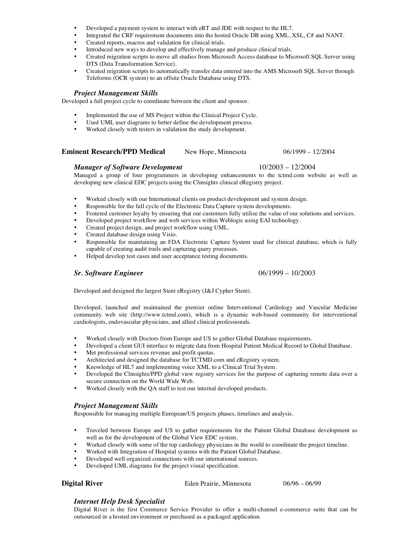- Developed a payment system to interact with eRT and JDE with respect to the HL7.
- Integrated the CRF requirement documents into the hosted Oracle DB using XML, XSL, C# and NANT.
- Created reports, macros and validation for clinical trials.
- Introduced new ways to develop and effectively manage and produce clinical trials.
- Created migration scripts to move all studies from Microsoft Access database to Microsoft SQL Server using DTS (Data Transformation Service).
- Created migration scripts to automatically transfer data entered into the AMS Microsoft SQL Server through Teleforms (OCR system) to an offsite Oracle Database using DTS.

#### *Project Management Skills*

Developed a full project cycle to coordinate between the client and sponsor.

- Implemented the use of MS Project within the Clinical Project Cycle.
- Used UML user diagrams to better define the development process.
- Worked closely with testers in validation the study development.

#### **Eminent Research/PPD Medical** New Hope, Minnesota 06/1999 – 12/2004

#### *Manager of Software Development* 10/2003 – 12/2004

Managed a group of four programmers in developing enhancements to the tctmd.com website as well as developing new clinical EDC projects using the Clinsights clinical eRegistry project.

- Worked closely with our International clients on product development and system design.
- Responsible for the full cycle of the Electronic Data Capture system developments.
- Fostered customer loyalty by ensuring that our customers fully utilize the value of our solutions and services.
- Developed project workflow and web services within Weblogic using EAI technology.
- Created project design, and project workflow using UML.
- Created database design using Visio.
- Responsible for maintaining an FDA Electronic Capture System used for clinical database, which is fully capable of creating audit trails and capturing query processes.
- Helped develop test cases and user acceptance testing documents.

#### *Sr. Software Engineer* 06/1999 – 10/2003

Developed and designed the largest Stent eRegistry (J&J Cypher Stent).

Developed, launched and maintained the premier online Interventional Cardiology and Vascular Medicine community web site (http://www.tctmd.com), which is a dynamic web-based community for interventional cardiologists, endovascular physicians, and allied clinical professionals.

- Worked closely with Doctors from Europe and US to gather Global Database requirements.
- Developed a client GUI interface to migrate data from Hospital Patient Medical Record to Global Database.
- Met professional services revenue and profit quotas.
- Architected and designed the database for TCTMD.com and eRegistry system.
- Knowledge of HL7 and implementing voice XML to a Clinical Trial System.
- Developed the Clinsights/PPD global view registry services for the purpose of capturing remote data over a secure connection on the World Wide Web.
- Worked closely with the QA staff to test our internal developed products.

#### *Project Management Skills*

Responsible for managing multiple European/US projects phases, timelines and analysis.

- Traveled between Europe and US to gather requirements for the Patient Global Database development as well as for the development of the Global View EDC system.
- Worked closely with some of the top cardiology physicians in the world to coordinate the project timeline.
- Worked with Integration of Hospital systems with the Patient Global Database.
- Developed well organized connections with our international sources.
- Developed UML diagrams for the project visual specification.

**Digital River Eden Prairie, Minnesota** 06/96 – 06/99

## *Internet Help Desk Specialist*

Digital River is the first Commerce Service Provider to offer a multi-channel e-commerce suite that can be outsourced in a hosted environment or purchased as a packaged application.